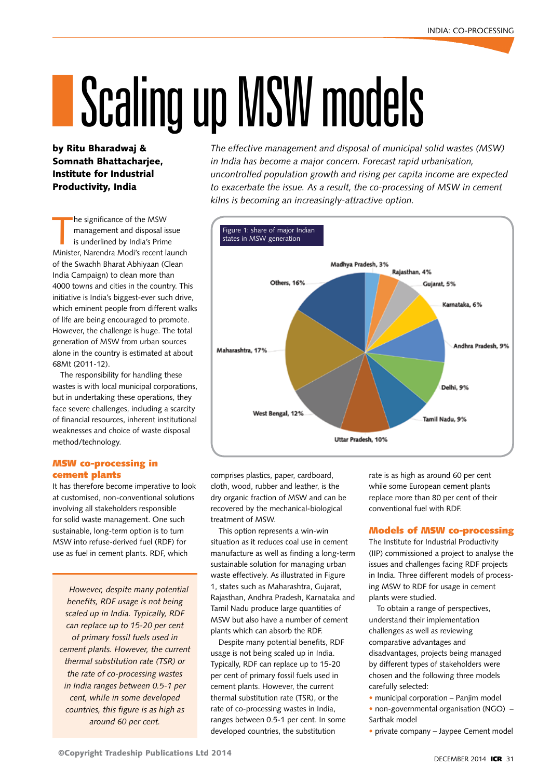# IScaling up MSW models

# by Ritu Bharadwaj & Somnath Bhattacharjee, Institute for Industrial Productivity, India

he significance of the MSW<br>
management and disposal issue<br>
is underlined by India's Prime<br>
Minister, Narendra Modi's recent launch he significance of the MSW management and disposal issue is underlined by India's Prime of the Swachh Bharat Abhiyaan (Clean India Campaign) to clean more than 4000 towns and cities in the country. This initiative is India's biggest-ever such drive, which eminent people from different walks of life are being encouraged to promote. However, the challenge is huge. The total generation of MSW from urban sources alone in the country is estimated at about 68Mt (2011-12).

The responsibility for handling these wastes is with local municipal corporations, but in undertaking these operations, they face severe challenges, including a scarcity of financial resources, inherent institutional weaknesses and choice of waste disposal method/technology.

## MSW co-processing in cement plants

It has therefore become imperative to look at customised, non-conventional solutions involving all stakeholders responsible for solid waste management. One such sustainable, long-term option is to turn MSW into refuse-derived fuel (RDF) for use as fuel in cement plants. RDF, which

*However, despite many potential benefits, RDF usage is not being scaled up in India. Typically, RDF can replace up to 15-20 per cent of primary fossil fuels used in cement plants. However, the current thermal substitution rate (TSR) or the rate of co-processing wastes in India ranges between 0.5-1 per cent, while in some developed countries, this figure is as high as around 60 per cent.*

*The effective management and disposal of municipal solid wastes (MSW) in India has become a major concern. Forecast rapid urbanisation, uncontrolled population growth and rising per capita income are expected to exacerbate the issue. As a result, the co-processing of MSW in cement kilns is becoming an increasingly-attractive option.* 



comprises plastics, paper, cardboard, cloth, wood, rubber and leather, is the dry organic fraction of MSW and can be recovered by the mechanical-biological treatment of MSW.

This option represents a win-win situation as it reduces coal use in cement manufacture as well as finding a long-term sustainable solution for managing urban waste effectively. As illustrated in Figure 1, states such as Maharashtra, Gujarat, Rajasthan, Andhra Pradesh, Karnataka and Tamil Nadu produce large quantities of MSW but also have a number of cement plants which can absorb the RDF.

Despite many potential benefits, RDF usage is not being scaled up in India. Typically, RDF can replace up to 15-20 per cent of primary fossil fuels used in cement plants. However, the current thermal substitution rate (TSR), or the rate of co-processing wastes in India, ranges between 0.5-1 per cent. In some developed countries, the substitution

rate is as high as around 60 per cent while some European cement plants replace more than 80 per cent of their conventional fuel with RDF.

#### Models of MSW co-processing

The Institute for Industrial Productivity (IIP) commissioned a project to analyse the issues and challenges facing RDF projects in India. Three different models of processing MSW to RDF for usage in cement plants were studied.

To obtain a range of perspectives, understand their implementation challenges as well as reviewing comparative advantages and disadvantages, projects being managed by different types of stakeholders were chosen and the following three models carefully selected:

- municipal corporation Paniim model
- non-governmental organisation (NGO) Sarthak model
- private company Jaypee Cement model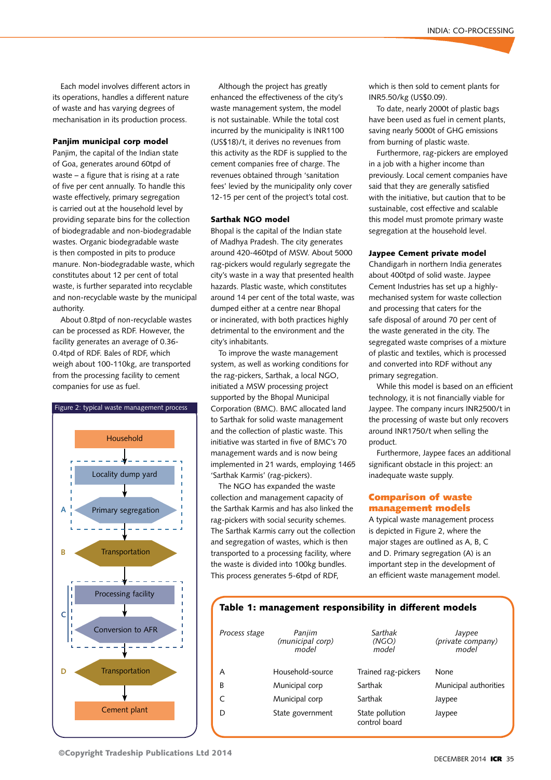Each model involves different actors in its operations, handles a different nature of waste and has varying degrees of mechanisation in its production process.

#### Panjim municipal corp model

Panjim, the capital of the Indian state of Goa, generates around 60tpd of waste – a figure that is rising at a rate of five per cent annually. To handle this waste effectively, primary segregation is carried out at the household level by providing separate bins for the collection of biodegradable and non-biodegradable wastes. Organic biodegradable waste is then composted in pits to produce manure. Non-biodegradable waste, which constitutes about 12 per cent of total waste, is further separated into recyclable and non-recyclable waste by the municipal authority.

About 0.8tpd of non-recyclable wastes can be processed as RDF. However, the facility generates an average of 0.36- 0.4tpd of RDF. Bales of RDF, which weigh about 100-110kg, are transported from the processing facility to cement companies for use as fuel.



Although the project has greatly enhanced the effectiveness of the city's waste management system, the model is not sustainable. While the total cost incurred by the municipality is INR1100 (US\$18)/t, it derives no revenues from this activity as the RDF is supplied to the cement companies free of charge. The revenues obtained through 'sanitation fees' levied by the municipality only cover 12-15 per cent of the project's total cost.

#### Sarthak NGO model

Bhopal is the capital of the Indian state of Madhya Pradesh. The city generates around 420-460tpd of MSW. About 5000 rag-pickers would regularly segregate the city's waste in a way that presented health hazards. Plastic waste, which constitutes around 14 per cent of the total waste, was dumped either at a centre near Bhopal or incinerated, with both practices highly detrimental to the environment and the city's inhabitants.

To improve the waste management system, as well as working conditions for the rag-pickers, Sarthak, a local NGO, initiated a MSW processing project supported by the Bhopal Municipal Corporation (BMC). BMC allocated land to Sarthak for solid waste management and the collection of plastic waste. This initiative was started in five of BMC's 70 management wards and is now being implemented in 21 wards, employing 1465 'Sarthak Karmis' (rag-pickers).

The NGO has expanded the waste collection and management capacity of the Sarthak Karmis and has also linked the rag-pickers with social security schemes. The Sarthak Karmis carry out the collection and segregation of wastes, which is then transported to a processing facility, where the waste is divided into 100kg bundles. This process generates 5-6tpd of RDF,

which is then sold to cement plants for INR5.50/kg (US\$0.09).

To date, nearly 2000t of plastic bags have been used as fuel in cement plants, saving nearly 5000t of GHG emissions from burning of plastic waste.

Furthermore, rag-pickers are employed in a job with a higher income than previously. Local cement companies have said that they are generally satisfied with the initiative, but caution that to be sustainable, cost effective and scalable this model must promote primary waste segregation at the household level.

#### Jaypee Cement private model

Chandigarh in northern India generates about 400tpd of solid waste. Jaypee Cement Industries has set up a highlymechanised system for waste collection and processing that caters for the safe disposal of around 70 per cent of the waste generated in the city. The segregated waste comprises of a mixture of plastic and textiles, which is processed and converted into RDF without any primary segregation.

While this model is based on an efficient technology, it is not financially viable for Jaypee. The company incurs INR2500/t in the processing of waste but only recovers around INR1750/t when selling the product.

Furthermore, Jaypee faces an additional significant obstacle in this project: an inadequate waste supply.

#### Comparison of waste management models

A typical waste management process is depicted in Figure 2, where the major stages are outlined as A, B, C and D. Primary segregation (A) is an important step in the development of an efficient waste management model.

### Table 1: management responsibility in different models

| Process stage | Panjim<br>(municipal corp)<br>model | Sarthak<br>(NGO)<br>model        | Jaypee<br>(private company)<br>model |
|---------------|-------------------------------------|----------------------------------|--------------------------------------|
| Α             | Household-source                    | Trained rag-pickers              | None                                 |
| B             | Municipal corp                      | Sarthak                          | Municipal authorities                |
|               | Municipal corp                      | Sarthak                          | Jaypee                               |
|               | State government                    | State pollution<br>control board | Jaypee                               |